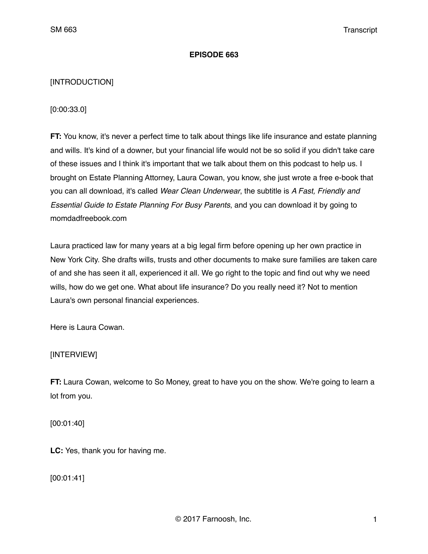## **EPISODE 663**

# [INTRODUCTION]

## [0:00:33.0]

**FT:** You know, it's never a perfect time to talk about things like life insurance and estate planning and wills. It's kind of a downer, but your financial life would not be so solid if you didn't take care of these issues and I think it's important that we talk about them on this podcast to help us. I brought on Estate Planning Attorney, Laura Cowan, you know, she just wrote a free e-book that you can all download, it's called *Wear Clean Underwear*, the subtitle is *A Fast, Friendly and Essential Guide to Estate Planning For Busy Parents*, and you can download it by going to momdadfreebook.com

Laura practiced law for many years at a big legal firm before opening up her own practice in New York City. She drafts wills, trusts and other documents to make sure families are taken care of and she has seen it all, experienced it all. We go right to the topic and find out why we need wills, how do we get one. What about life insurance? Do you really need it? Not to mention Laura's own personal financial experiences.

Here is Laura Cowan.

# [INTERVIEW]

**FT:** Laura Cowan, welcome to So Money, great to have you on the show. We're going to learn a lot from you.

[00:01:40]

**LC:** Yes, thank you for having me.

[00:01:41]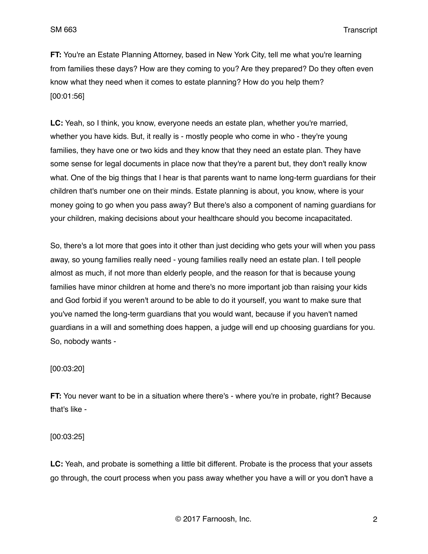**FT:** You're an Estate Planning Attorney, based in New York City, tell me what you're learning from families these days? How are they coming to you? Are they prepared? Do they often even know what they need when it comes to estate planning? How do you help them? [00:01:56]

**LC:** Yeah, so I think, you know, everyone needs an estate plan, whether you're married, whether you have kids. But, it really is - mostly people who come in who - they're young families, they have one or two kids and they know that they need an estate plan. They have some sense for legal documents in place now that they're a parent but, they don't really know what. One of the big things that I hear is that parents want to name long-term guardians for their children that's number one on their minds. Estate planning is about, you know, where is your money going to go when you pass away? But there's also a component of naming guardians for your children, making decisions about your healthcare should you become incapacitated.

So, there's a lot more that goes into it other than just deciding who gets your will when you pass away, so young families really need - young families really need an estate plan. I tell people almost as much, if not more than elderly people, and the reason for that is because young families have minor children at home and there's no more important job than raising your kids and God forbid if you weren't around to be able to do it yourself, you want to make sure that you've named the long-term guardians that you would want, because if you haven't named guardians in a will and something does happen, a judge will end up choosing guardians for you. So, nobody wants -

## [00:03:20]

**FT:** You never want to be in a situation where there's - where you're in probate, right? Because that's like -

#### [00:03:25]

**LC:** Yeah, and probate is something a little bit different. Probate is the process that your assets go through, the court process when you pass away whether you have a will or you don't have a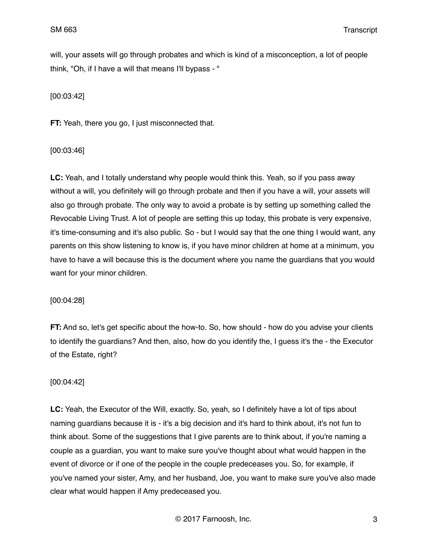will, your assets will go through probates and which is kind of a misconception, a lot of people think, "Oh, if I have a will that means I'll bypass - "

[00:03:42]

**FT:** Yeah, there you go, I just misconnected that.

[00:03:46]

**LC:** Yeah, and I totally understand why people would think this. Yeah, so if you pass away without a will, you definitely will go through probate and then if you have a will, your assets will also go through probate. The only way to avoid a probate is by setting up something called the Revocable Living Trust. A lot of people are setting this up today, this probate is very expensive, it's time-consuming and it's also public. So - but I would say that the one thing I would want, any parents on this show listening to know is, if you have minor children at home at a minimum, you have to have a will because this is the document where you name the guardians that you would want for your minor children.

[00:04:28]

**FT:** And so, let's get specific about the how-to. So, how should - how do you advise your clients to identify the guardians? And then, also, how do you identify the, I guess it's the - the Executor of the Estate, right?

#### [00:04:42]

**LC:** Yeah, the Executor of the Will, exactly. So, yeah, so I definitely have a lot of tips about naming guardians because it is - it's a big decision and it's hard to think about, it's not fun to think about. Some of the suggestions that I give parents are to think about, if you're naming a couple as a guardian, you want to make sure you've thought about what would happen in the event of divorce or if one of the people in the couple predeceases you. So, for example, if you've named your sister, Amy, and her husband, Joe, you want to make sure you've also made clear what would happen if Amy predeceased you.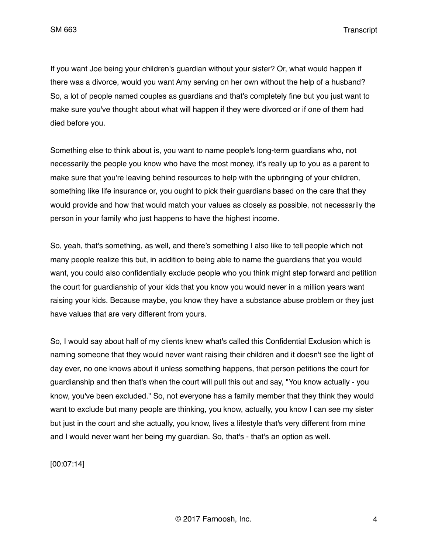If you want Joe being your children's guardian without your sister? Or, what would happen if there was a divorce, would you want Amy serving on her own without the help of a husband? So, a lot of people named couples as guardians and that's completely fine but you just want to make sure you've thought about what will happen if they were divorced or if one of them had died before you.

Something else to think about is, you want to name people's long-term guardians who, not necessarily the people you know who have the most money, it's really up to you as a parent to make sure that you're leaving behind resources to help with the upbringing of your children, something like life insurance or, you ought to pick their guardians based on the care that they would provide and how that would match your values as closely as possible, not necessarily the person in your family who just happens to have the highest income.

So, yeah, that's something, as well, and there's something I also like to tell people which not many people realize this but, in addition to being able to name the guardians that you would want, you could also confidentially exclude people who you think might step forward and petition the court for guardianship of your kids that you know you would never in a million years want raising your kids. Because maybe, you know they have a substance abuse problem or they just have values that are very different from yours.

So, I would say about half of my clients knew what's called this Confidential Exclusion which is naming someone that they would never want raising their children and it doesn't see the light of day ever, no one knows about it unless something happens, that person petitions the court for guardianship and then that's when the court will pull this out and say, "You know actually - you know, you've been excluded." So, not everyone has a family member that they think they would want to exclude but many people are thinking, you know, actually, you know I can see my sister but just in the court and she actually, you know, lives a lifestyle that's very different from mine and I would never want her being my guardian. So, that's - that's an option as well.

[00:07:14]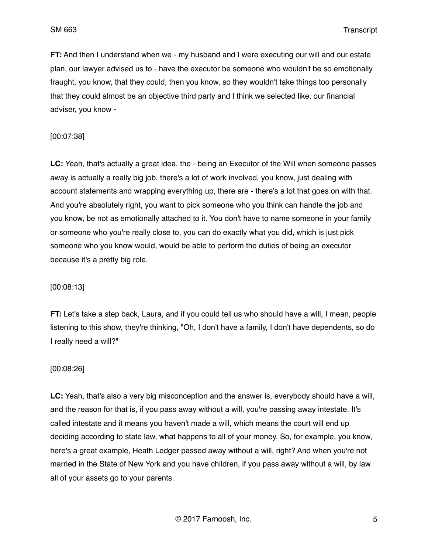**FT:** And then I understand when we - my husband and I were executing our will and our estate plan, our lawyer advised us to - have the executor be someone who wouldn't be so emotionally fraught, you know, that they could, then you know, so they wouldn't take things too personally that they could almost be an objective third party and I think we selected like, our financial adviser, you know -

#### [00:07:38]

**LC:** Yeah, that's actually a great idea, the - being an Executor of the Will when someone passes away is actually a really big job, there's a lot of work involved, you know, just dealing with account statements and wrapping everything up, there are - there's a lot that goes on with that. And you're absolutely right, you want to pick someone who you think can handle the job and you know, be not as emotionally attached to it. You don't have to name someone in your family or someone who you're really close to, you can do exactly what you did, which is just pick someone who you know would, would be able to perform the duties of being an executor because it's a pretty big role.

#### [00:08:13]

**FT:** Let's take a step back, Laura, and if you could tell us who should have a will, I mean, people listening to this show, they're thinking, "Oh, I don't have a family, I don't have dependents, so do I really need a will?"

#### [00:08:26]

**LC:** Yeah, that's also a very big misconception and the answer is, everybody should have a will, and the reason for that is, if you pass away without a will, you're passing away intestate. It's called intestate and it means you haven't made a will, which means the court will end up deciding according to state law, what happens to all of your money. So, for example, you know, here's a great example, Heath Ledger passed away without a will, right? And when you're not married in the State of New York and you have children, if you pass away without a will, by law all of your assets go to your parents.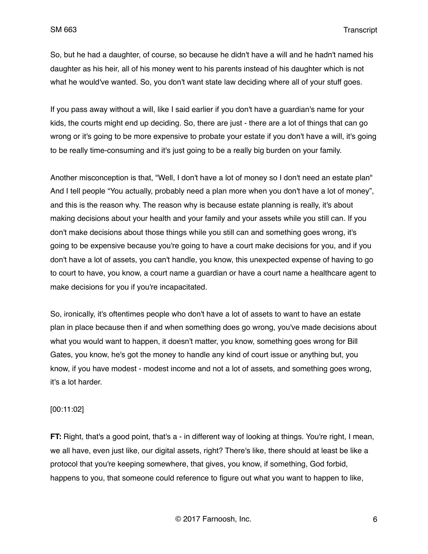So, but he had a daughter, of course, so because he didn't have a will and he hadn't named his daughter as his heir, all of his money went to his parents instead of his daughter which is not what he would've wanted. So, you don't want state law deciding where all of your stuff goes.

If you pass away without a will, like I said earlier if you don't have a guardian's name for your kids, the courts might end up deciding. So, there are just - there are a lot of things that can go wrong or it's going to be more expensive to probate your estate if you don't have a will, it's going to be really time-consuming and it's just going to be a really big burden on your family.

Another misconception is that, "Well, I don't have a lot of money so I don't need an estate plan" And I tell people "You actually, probably need a plan more when you don't have a lot of money", and this is the reason why. The reason why is because estate planning is really, it's about making decisions about your health and your family and your assets while you still can. If you don't make decisions about those things while you still can and something goes wrong, it's going to be expensive because you're going to have a court make decisions for you, and if you don't have a lot of assets, you can't handle, you know, this unexpected expense of having to go to court to have, you know, a court name a guardian or have a court name a healthcare agent to make decisions for you if you're incapacitated.

So, ironically, it's oftentimes people who don't have a lot of assets to want to have an estate plan in place because then if and when something does go wrong, you've made decisions about what you would want to happen, it doesn't matter, you know, something goes wrong for Bill Gates, you know, he's got the money to handle any kind of court issue or anything but, you know, if you have modest - modest income and not a lot of assets, and something goes wrong, it's a lot harder.

#### [00:11:02]

**FT:** Right, that's a good point, that's a - in different way of looking at things. You're right, I mean, we all have, even just like, our digital assets, right? There's like, there should at least be like a protocol that you're keeping somewhere, that gives, you know, if something, God forbid, happens to you, that someone could reference to figure out what you want to happen to like,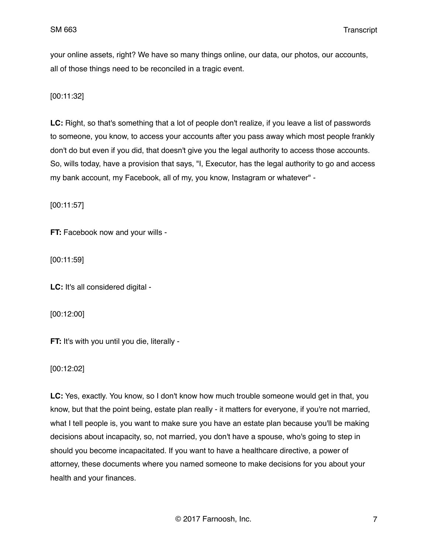your online assets, right? We have so many things online, our data, our photos, our accounts, all of those things need to be reconciled in a tragic event.

[00:11:32]

**LC:** Right, so that's something that a lot of people don't realize, if you leave a list of passwords to someone, you know, to access your accounts after you pass away which most people frankly don't do but even if you did, that doesn't give you the legal authority to access those accounts. So, wills today, have a provision that says, "I, Executor, has the legal authority to go and access my bank account, my Facebook, all of my, you know, Instagram or whatever" -

[00:11:57]

**FT:** Facebook now and your wills -

[00:11:59]

**LC:** It's all considered digital -

[00:12:00]

**FT:** It's with you until you die, literally -

[00:12:02]

LC: Yes, exactly. You know, so I don't know how much trouble someone would get in that, you know, but that the point being, estate plan really - it matters for everyone, if you're not married, what I tell people is, you want to make sure you have an estate plan because you'll be making decisions about incapacity, so, not married, you don't have a spouse, who's going to step in should you become incapacitated. If you want to have a healthcare directive, a power of attorney, these documents where you named someone to make decisions for you about your health and your finances.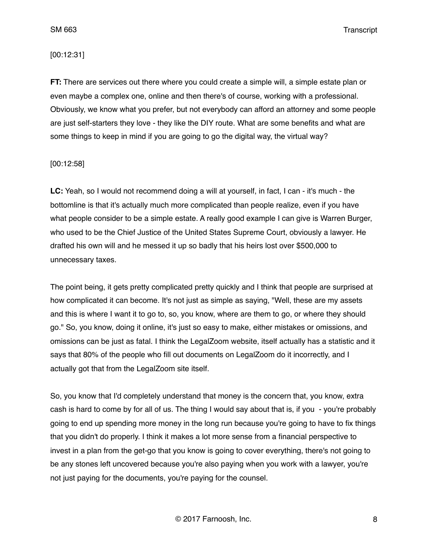#### [00:12:31]

**FT:** There are services out there where you could create a simple will, a simple estate plan or even maybe a complex one, online and then there's of course, working with a professional. Obviously, we know what you prefer, but not everybody can afford an attorney and some people are just self-starters they love - they like the DIY route. What are some benefits and what are some things to keep in mind if you are going to go the digital way, the virtual way?

## [00:12:58]

**LC:** Yeah, so I would not recommend doing a will at yourself, in fact, I can - it's much - the bottomline is that it's actually much more complicated than people realize, even if you have what people consider to be a simple estate. A really good example I can give is Warren Burger, who used to be the Chief Justice of the United States Supreme Court, obviously a lawyer. He drafted his own will and he messed it up so badly that his heirs lost over \$500,000 to unnecessary taxes.

The point being, it gets pretty complicated pretty quickly and I think that people are surprised at how complicated it can become. It's not just as simple as saying, "Well, these are my assets and this is where I want it to go to, so, you know, where are them to go, or where they should go." So, you know, doing it online, it's just so easy to make, either mistakes or omissions, and omissions can be just as fatal. I think the LegalZoom website, itself actually has a statistic and it says that 80% of the people who fill out documents on LegalZoom do it incorrectly, and I actually got that from the LegalZoom site itself.

So, you know that I'd completely understand that money is the concern that, you know, extra cash is hard to come by for all of us. The thing I would say about that is, if you - you're probably going to end up spending more money in the long run because you're going to have to fix things that you didn't do properly. I think it makes a lot more sense from a financial perspective to invest in a plan from the get-go that you know is going to cover everything, there's not going to be any stones left uncovered because you're also paying when you work with a lawyer, you're not just paying for the documents, you're paying for the counsel.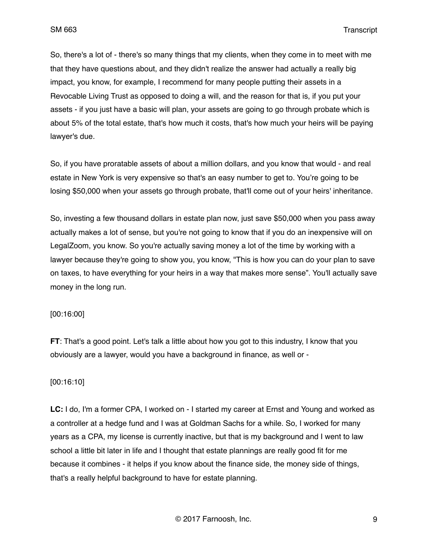So, there's a lot of - there's so many things that my clients, when they come in to meet with me that they have questions about, and they didn't realize the answer had actually a really big impact, you know, for example, I recommend for many people putting their assets in a Revocable Living Trust as opposed to doing a will, and the reason for that is, if you put your assets - if you just have a basic will plan, your assets are going to go through probate which is about 5% of the total estate, that's how much it costs, that's how much your heirs will be paying lawyer's due.

So, if you have proratable assets of about a million dollars, and you know that would - and real estate in New York is very expensive so that's an easy number to get to. You're going to be losing \$50,000 when your assets go through probate, that'll come out of your heirs' inheritance.

So, investing a few thousand dollars in estate plan now, just save \$50,000 when you pass away actually makes a lot of sense, but you're not going to know that if you do an inexpensive will on LegalZoom, you know. So you're actually saving money a lot of the time by working with a lawyer because they're going to show you, you know, "This is how you can do your plan to save on taxes, to have everything for your heirs in a way that makes more sense". You'll actually save money in the long run.

#### [00:16:00]

**FT**: That's a good point. Let's talk a little about how you got to this industry, I know that you obviously are a lawyer, would you have a background in finance, as well or -

## [00:16:10]

**LC:** I do, I'm a former CPA, I worked on - I started my career at Ernst and Young and worked as a controller at a hedge fund and I was at Goldman Sachs for a while. So, I worked for many years as a CPA, my license is currently inactive, but that is my background and I went to law school a little bit later in life and I thought that estate plannings are really good fit for me because it combines - it helps if you know about the finance side, the money side of things, that's a really helpful background to have for estate planning.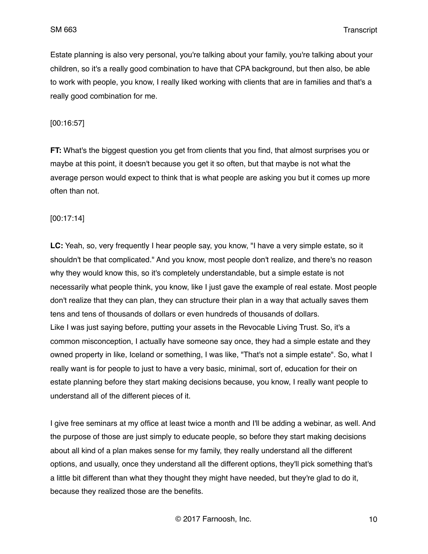Estate planning is also very personal, you're talking about your family, you're talking about your children, so it's a really good combination to have that CPA background, but then also, be able to work with people, you know, I really liked working with clients that are in families and that's a really good combination for me.

[00:16:57]

**FT:** What's the biggest question you get from clients that you find, that almost surprises you or maybe at this point, it doesn't because you get it so often, but that maybe is not what the average person would expect to think that is what people are asking you but it comes up more often than not.

[00:17:14]

**LC:** Yeah, so, very frequently I hear people say, you know, "I have a very simple estate, so it shouldn't be that complicated." And you know, most people don't realize, and there's no reason why they would know this, so it's completely understandable, but a simple estate is not necessarily what people think, you know, like I just gave the example of real estate. Most people don't realize that they can plan, they can structure their plan in a way that actually saves them tens and tens of thousands of dollars or even hundreds of thousands of dollars. Like I was just saying before, putting your assets in the Revocable Living Trust. So, it's a common misconception, I actually have someone say once, they had a simple estate and they owned property in like, Iceland or something, I was like, "That's not a simple estate". So, what I really want is for people to just to have a very basic, minimal, sort of, education for their on estate planning before they start making decisions because, you know, I really want people to understand all of the different pieces of it.

I give free seminars at my office at least twice a month and I'll be adding a webinar, as well. And the purpose of those are just simply to educate people, so before they start making decisions about all kind of a plan makes sense for my family, they really understand all the different options, and usually, once they understand all the different options, they'll pick something that's a little bit different than what they thought they might have needed, but they're glad to do it, because they realized those are the benefits.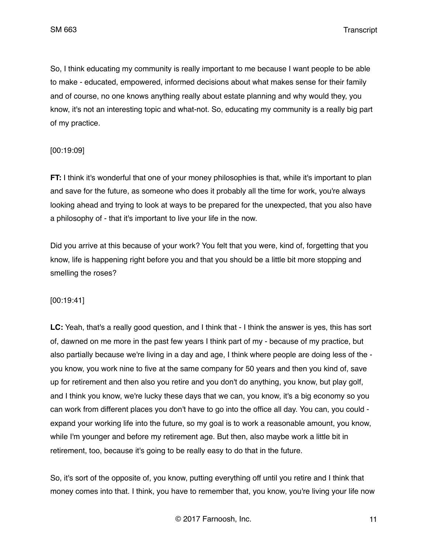So, I think educating my community is really important to me because I want people to be able to make - educated, empowered, informed decisions about what makes sense for their family and of course, no one knows anything really about estate planning and why would they, you know, it's not an interesting topic and what-not. So, educating my community is a really big part of my practice.

[00:19:09]

**FT:** I think it's wonderful that one of your money philosophies is that, while it's important to plan and save for the future, as someone who does it probably all the time for work, you're always looking ahead and trying to look at ways to be prepared for the unexpected, that you also have a philosophy of - that it's important to live your life in the now.

Did you arrive at this because of your work? You felt that you were, kind of, forgetting that you know, life is happening right before you and that you should be a little bit more stopping and smelling the roses?

[00:19:41]

**LC:** Yeah, that's a really good question, and I think that - I think the answer is yes, this has sort of, dawned on me more in the past few years I think part of my - because of my practice, but also partially because we're living in a day and age, I think where people are doing less of the you know, you work nine to five at the same company for 50 years and then you kind of, save up for retirement and then also you retire and you don't do anything, you know, but play golf, and I think you know, we're lucky these days that we can, you know, it's a big economy so you can work from different places you don't have to go into the office all day. You can, you could expand your working life into the future, so my goal is to work a reasonable amount, you know, while I'm younger and before my retirement age. But then, also maybe work a little bit in retirement, too, because it's going to be really easy to do that in the future.

So, it's sort of the opposite of, you know, putting everything off until you retire and I think that money comes into that. I think, you have to remember that, you know, you're living your life now

© 2017 Farnoosh, Inc. 11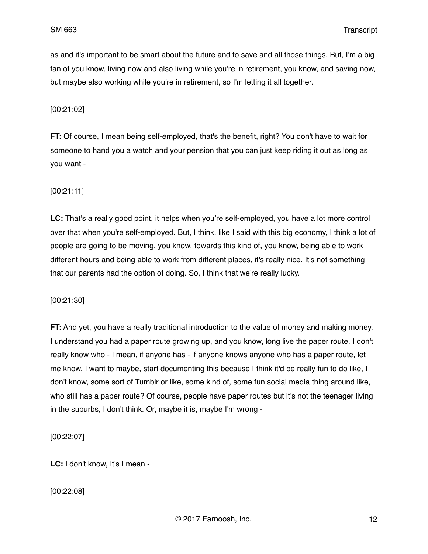as and it's important to be smart about the future and to save and all those things. But, I'm a big fan of you know, living now and also living while you're in retirement, you know, and saving now, but maybe also working while you're in retirement, so I'm letting it all together.

[00:21:02]

**FT:** Of course, I mean being self-employed, that's the benefit, right? You don't have to wait for someone to hand you a watch and your pension that you can just keep riding it out as long as you want -

[00:21:11]

**LC:** That's a really good point, it helps when you're self-employed, you have a lot more control over that when you're self-employed. But, I think, like I said with this big economy, I think a lot of people are going to be moving, you know, towards this kind of, you know, being able to work different hours and being able to work from different places, it's really nice. It's not something that our parents had the option of doing. So, I think that we're really lucky.

[00:21:30]

**FT:** And yet, you have a really traditional introduction to the value of money and making money. I understand you had a paper route growing up, and you know, long live the paper route. I don't really know who - I mean, if anyone has - if anyone knows anyone who has a paper route, let me know, I want to maybe, start documenting this because I think it'd be really fun to do like, I don't know, some sort of Tumblr or like, some kind of, some fun social media thing around like, who still has a paper route? Of course, people have paper routes but it's not the teenager living in the suburbs, I don't think. Or, maybe it is, maybe I'm wrong -

[00:22:07]

**LC:** I don't know, It's I mean -

[00:22:08]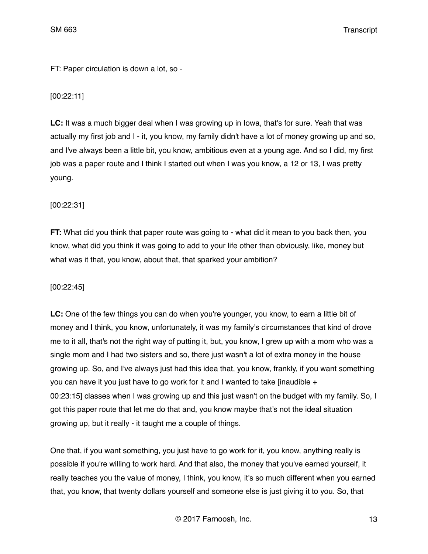FT: Paper circulation is down a lot, so -

# [00:22:11]

**LC:** It was a much bigger deal when I was growing up in Iowa, that's for sure. Yeah that was actually my first job and I - it, you know, my family didn't have a lot of money growing up and so, and I've always been a little bit, you know, ambitious even at a young age. And so I did, my first job was a paper route and I think I started out when I was you know, a 12 or 13, I was pretty young.

# [00:22:31]

**FT:** What did you think that paper route was going to - what did it mean to you back then, you know, what did you think it was going to add to your life other than obviously, like, money but what was it that, you know, about that, that sparked your ambition?

# [00:22:45]

**LC:** One of the few things you can do when you're younger, you know, to earn a little bit of money and I think, you know, unfortunately, it was my family's circumstances that kind of drove me to it all, that's not the right way of putting it, but, you know, I grew up with a mom who was a single mom and I had two sisters and so, there just wasn't a lot of extra money in the house growing up. So, and I've always just had this idea that, you know, frankly, if you want something you can have it you just have to go work for it and I wanted to take [inaudible  $+$ 00:23:15] classes when I was growing up and this just wasn't on the budget with my family. So, I got this paper route that let me do that and, you know maybe that's not the ideal situation growing up, but it really - it taught me a couple of things.

One that, if you want something, you just have to go work for it, you know, anything really is possible if you're willing to work hard. And that also, the money that you've earned yourself, it really teaches you the value of money, I think, you know, it's so much different when you earned that, you know, that twenty dollars yourself and someone else is just giving it to you. So, that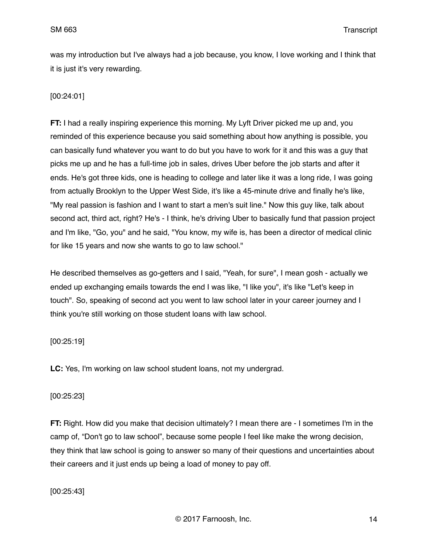was my introduction but I've always had a job because, you know, I love working and I think that it is just it's very rewarding.

# [00:24:01]

**FT:** I had a really inspiring experience this morning. My Lyft Driver picked me up and, you reminded of this experience because you said something about how anything is possible, you can basically fund whatever you want to do but you have to work for it and this was a guy that picks me up and he has a full-time job in sales, drives Uber before the job starts and after it ends. He's got three kids, one is heading to college and later like it was a long ride, I was going from actually Brooklyn to the Upper West Side, it's like a 45-minute drive and finally he's like, "My real passion is fashion and I want to start a men's suit line." Now this guy like, talk about second act, third act, right? He's - I think, he's driving Uber to basically fund that passion project and I'm like, "Go, you" and he said, "You know, my wife is, has been a director of medical clinic for like 15 years and now she wants to go to law school."

He described themselves as go-getters and I said, "Yeah, for sure", I mean gosh - actually we ended up exchanging emails towards the end I was like, "I like you", it's like "Let's keep in touch". So, speaking of second act you went to law school later in your career journey and I think you're still working on those student loans with law school.

## [00:25:19]

**LC:** Yes, I'm working on law school student loans, not my undergrad.

# [00:25:23]

**FT:** Right. How did you make that decision ultimately? I mean there are - I sometimes I'm in the camp of, "Don't go to law school", because some people I feel like make the wrong decision, they think that law school is going to answer so many of their questions and uncertainties about their careers and it just ends up being a load of money to pay off.

[00:25:43]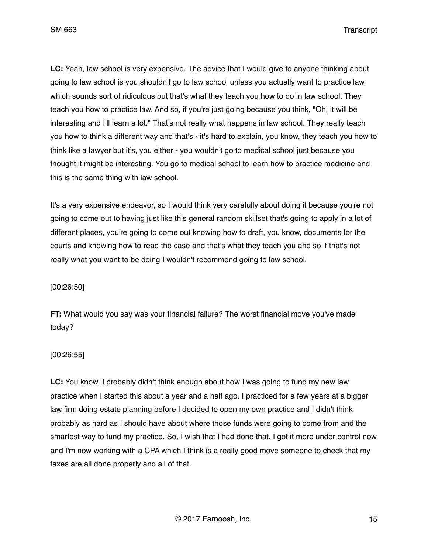**LC:** Yeah, law school is very expensive. The advice that I would give to anyone thinking about going to law school is you shouldn't go to law school unless you actually want to practice law which sounds sort of ridiculous but that's what they teach you how to do in law school. They teach you how to practice law. And so, if you're just going because you think, "Oh, it will be interesting and I'll learn a lot." That's not really what happens in law school. They really teach you how to think a different way and that's - it's hard to explain, you know, they teach you how to think like a lawyer but it's, you either - you wouldn't go to medical school just because you thought it might be interesting. You go to medical school to learn how to practice medicine and this is the same thing with law school.

It's a very expensive endeavor, so I would think very carefully about doing it because you're not going to come out to having just like this general random skillset that's going to apply in a lot of different places, you're going to come out knowing how to draft, you know, documents for the courts and knowing how to read the case and that's what they teach you and so if that's not really what you want to be doing I wouldn't recommend going to law school.

[00:26:50]

**FT:** What would you say was your financial failure? The worst financial move you've made today?

[00:26:55]

**LC:** You know, I probably didn't think enough about how I was going to fund my new law practice when I started this about a year and a half ago. I practiced for a few years at a bigger law firm doing estate planning before I decided to open my own practice and I didn't think probably as hard as I should have about where those funds were going to come from and the smartest way to fund my practice. So, I wish that I had done that. I got it more under control now and I'm now working with a CPA which I think is a really good move someone to check that my taxes are all done properly and all of that.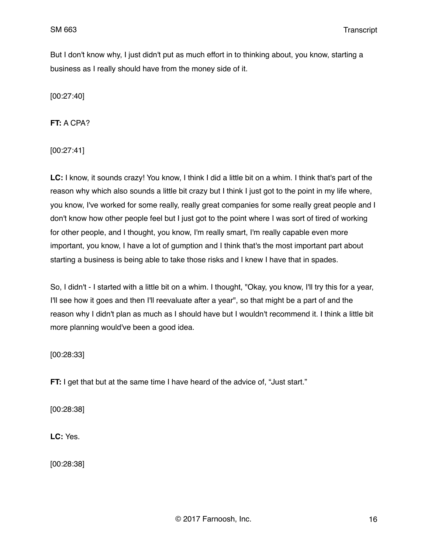But I don't know why, I just didn't put as much effort in to thinking about, you know, starting a business as I really should have from the money side of it.

[00:27:40]

**FT:** A CPA?

[00:27:41]

**LC:** I know, it sounds crazy! You know, I think I did a little bit on a whim. I think that's part of the reason why which also sounds a little bit crazy but I think I just got to the point in my life where, you know, I've worked for some really, really great companies for some really great people and I don't know how other people feel but I just got to the point where I was sort of tired of working for other people, and I thought, you know, I'm really smart, I'm really capable even more important, you know, I have a lot of gumption and I think that's the most important part about starting a business is being able to take those risks and I knew I have that in spades.

So, I didn't - I started with a little bit on a whim. I thought, "Okay, you know, I'll try this for a year, I'll see how it goes and then I'll reevaluate after a year", so that might be a part of and the reason why I didn't plan as much as I should have but I wouldn't recommend it. I think a little bit more planning would've been a good idea.

[00:28:33]

**FT:** I get that but at the same time I have heard of the advice of, "Just start."

[00:28:38]

**LC:** Yes.

[00:28:38]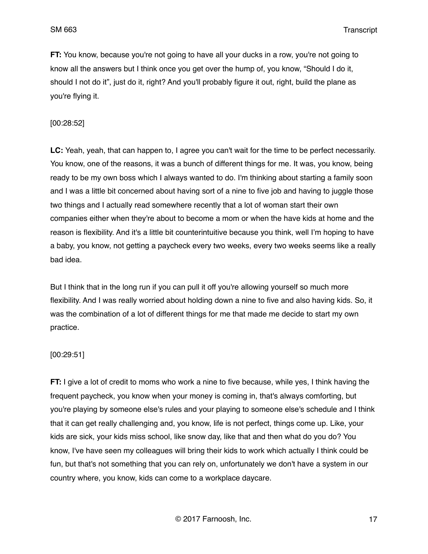**FT:** You know, because you're not going to have all your ducks in a row, you're not going to know all the answers but I think once you get over the hump of, you know, "Should I do it, should I not do it", just do it, right? And you'll probably figure it out, right, build the plane as you're flying it.

#### [00:28:52]

**LC:** Yeah, yeah, that can happen to, I agree you can't wait for the time to be perfect necessarily. You know, one of the reasons, it was a bunch of different things for me. It was, you know, being ready to be my own boss which I always wanted to do. I'm thinking about starting a family soon and I was a little bit concerned about having sort of a nine to five job and having to juggle those two things and I actually read somewhere recently that a lot of woman start their own companies either when they're about to become a mom or when the have kids at home and the reason is flexibility. And it's a little bit counterintuitive because you think, well I'm hoping to have a baby, you know, not getting a paycheck every two weeks, every two weeks seems like a really bad idea.

But I think that in the long run if you can pull it off you're allowing yourself so much more flexibility. And I was really worried about holding down a nine to five and also having kids. So, it was the combination of a lot of different things for me that made me decide to start my own practice.

#### [00:29:51]

**FT:** I give a lot of credit to moms who work a nine to five because, while yes, I think having the frequent paycheck, you know when your money is coming in, that's always comforting, but you're playing by someone else's rules and your playing to someone else's schedule and I think that it can get really challenging and, you know, life is not perfect, things come up. Like, your kids are sick, your kids miss school, like snow day, like that and then what do you do? You know, I've have seen my colleagues will bring their kids to work which actually I think could be fun, but that's not something that you can rely on, unfortunately we don't have a system in our country where, you know, kids can come to a workplace daycare.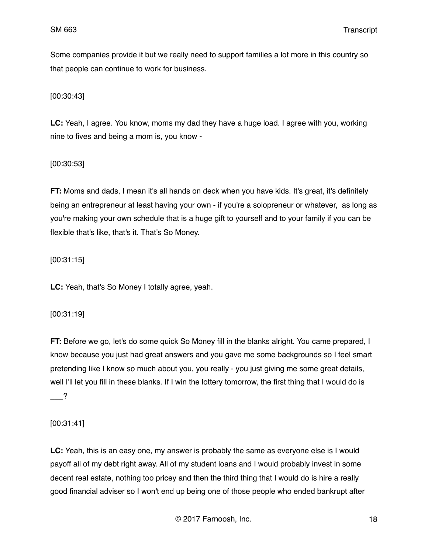Some companies provide it but we really need to support families a lot more in this country so that people can continue to work for business.

[00:30:43]

**LC:** Yeah, I agree. You know, moms my dad they have a huge load. I agree with you, working nine to fives and being a mom is, you know -

[00:30:53]

**FT:** Moms and dads, I mean it's all hands on deck when you have kids. It's great, it's definitely being an entrepreneur at least having your own - if you're a solopreneur or whatever, as long as you're making your own schedule that is a huge gift to yourself and to your family if you can be flexible that's like, that's it. That's So Money.

[00:31:15]

**LC:** Yeah, that's So Money I totally agree, yeah.

[00:31:19]

**FT:** Before we go, let's do some quick So Money fill in the blanks alright. You came prepared, I know because you just had great answers and you gave me some backgrounds so I feel smart pretending like I know so much about you, you really - you just giving me some great details, well I'll let you fill in these blanks. If I win the lottery tomorrow, the first thing that I would do is  $\overline{?}$ 

[00:31:41]

**LC:** Yeah, this is an easy one, my answer is probably the same as everyone else is I would payoff all of my debt right away. All of my student loans and I would probably invest in some decent real estate, nothing too pricey and then the third thing that I would do is hire a really good financial adviser so I won't end up being one of those people who ended bankrupt after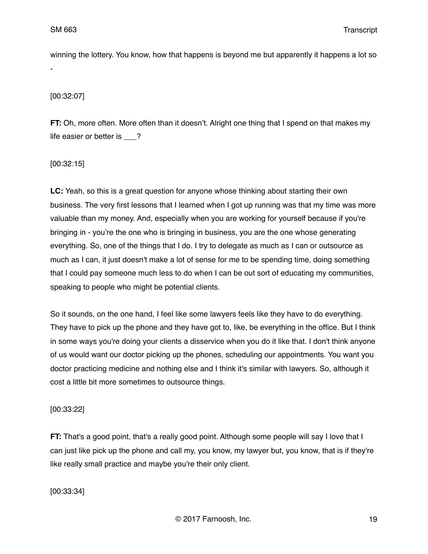winning the lottery. You know, how that happens is beyond me but apparently it happens a lot so -

[00:32:07]

**FT:** Oh, more often. More often than it doesn't. Alright one thing that I spend on that makes my life easier or better is ?

[00:32:15]

**LC:** Yeah, so this is a great question for anyone whose thinking about starting their own business. The very first lessons that I learned when I got up running was that my time was more valuable than my money. And, especially when you are working for yourself because if you're bringing in - you're the one who is bringing in business, you are the one whose generating everything. So, one of the things that I do. I try to delegate as much as I can or outsource as much as I can, it just doesn't make a lot of sense for me to be spending time, doing something that I could pay someone much less to do when I can be out sort of educating my communities, speaking to people who might be potential clients.

So it sounds, on the one hand, I feel like some lawyers feels like they have to do everything. They have to pick up the phone and they have got to, like, be everything in the office. But I think in some ways you're doing your clients a disservice when you do it like that. I don't think anyone of us would want our doctor picking up the phones, scheduling our appointments. You want you doctor practicing medicine and nothing else and I think it's similar with lawyers. So, although it cost a little bit more sometimes to outsource things.

[00:33:22]

**FT:** That's a good point, that's a really good point. Although some people will say I love that I can just like pick up the phone and call my, you know, my lawyer but, you know, that is if they're like really small practice and maybe you're their only client.

[00:33:34]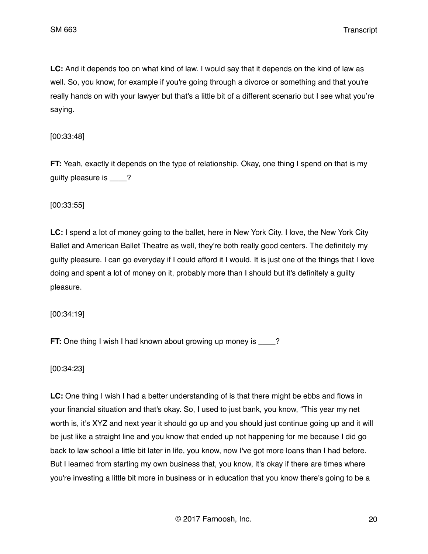**LC:** And it depends too on what kind of law. I would say that it depends on the kind of law as well. So, you know, for example if you're going through a divorce or something and that you're really hands on with your lawyer but that's a little bit of a different scenario but I see what you're saying.

## [00:33:48]

**FT:** Yeah, exactly it depends on the type of relationship. Okay, one thing I spend on that is my guilty pleasure is  $\qquad$  ?

[00:33:55]

**LC:** I spend a lot of money going to the ballet, here in New York City. I love, the New York City Ballet and American Ballet Theatre as well, they're both really good centers. The definitely my guilty pleasure. I can go everyday if I could afford it I would. It is just one of the things that I love doing and spent a lot of money on it, probably more than I should but it's definitely a guilty pleasure.

[00:34:19]

**FT:** One thing I wish I had known about growing up money is \_\_\_\_?

[00:34:23]

**LC:** One thing I wish I had a better understanding of is that there might be ebbs and flows in your financial situation and that's okay. So, I used to just bank, you know, "This year my net worth is, it's XYZ and next year it should go up and you should just continue going up and it will be just like a straight line and you know that ended up not happening for me because I did go back to law school a little bit later in life, you know, now I've got more loans than I had before. But I learned from starting my own business that, you know, it's okay if there are times where you're investing a little bit more in business or in education that you know there's going to be a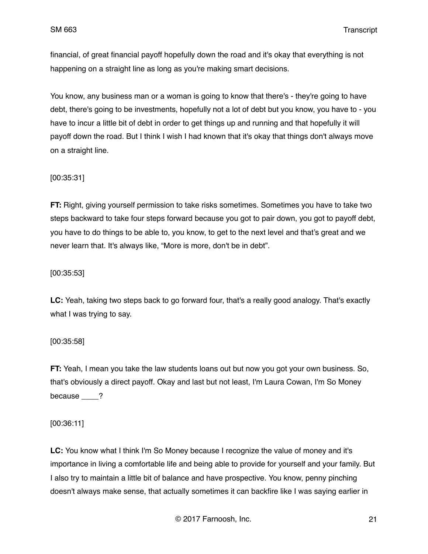financial, of great financial payoff hopefully down the road and it's okay that everything is not happening on a straight line as long as you're making smart decisions.

You know, any business man or a woman is going to know that there's - they're going to have debt, there's going to be investments, hopefully not a lot of debt but you know, you have to - you have to incur a little bit of debt in order to get things up and running and that hopefully it will payoff down the road. But I think I wish I had known that it's okay that things don't always move on a straight line.

## [00:35:31]

**FT:** Right, giving yourself permission to take risks sometimes. Sometimes you have to take two steps backward to take four steps forward because you got to pair down, you got to payoff debt, you have to do things to be able to, you know, to get to the next level and that's great and we never learn that. It's always like, "More is more, don't be in debt".

#### [00:35:53]

**LC:** Yeah, taking two steps back to go forward four, that's a really good analogy. That's exactly what I was trying to say.

#### [00:35:58]

**FT:** Yeah, I mean you take the law students loans out but now you got your own business. So, that's obviously a direct payoff. Okay and last but not least, I'm Laura Cowan, I'm So Money because ?

[00:36:11]

**LC:** You know what I think I'm So Money because I recognize the value of money and it's importance in living a comfortable life and being able to provide for yourself and your family. But I also try to maintain a little bit of balance and have prospective. You know, penny pinching doesn't always make sense, that actually sometimes it can backfire like I was saying earlier in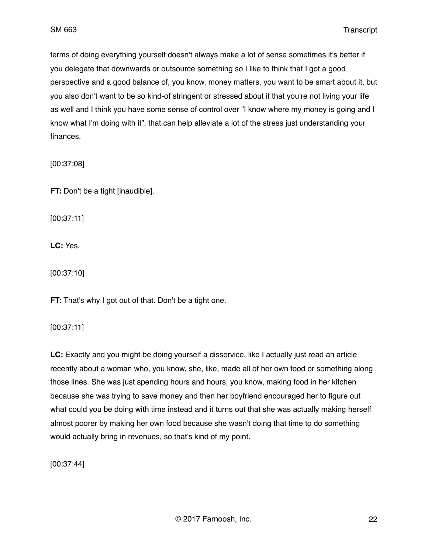terms of doing everything yourself doesn't always make a lot of sense sometimes it's better if you delegate that downwards or outsource something so I like to think that I got a good perspective and a good balance of, you know, money matters, you want to be smart about it, but you also don't want to be so kind-of stringent or stressed about it that you're not living your life as well and I think you have some sense of control over "I know where my money is going and I know what I'm doing with it", that can help alleviate a lot of the stress just understanding your finances.

[00:37:08]

**FT:** Don't be a tight [inaudible].

[00:37:11]

**LC:** Yes.

[00:37:10]

**FT:** That's why I got out of that. Don't be a tight one.

[00:37:11]

**LC:** Exactly and you might be doing yourself a disservice, like I actually just read an article recently about a woman who, you know, she, like, made all of her own food or something along those lines. She was just spending hours and hours, you know, making food in her kitchen because she was trying to save money and then her boyfriend encouraged her to figure out what could you be doing with time instead and it turns out that she was actually making herself almost poorer by making her own food because she wasn't doing that time to do something would actually bring in revenues, so that's kind of my point.

[00:37:44]